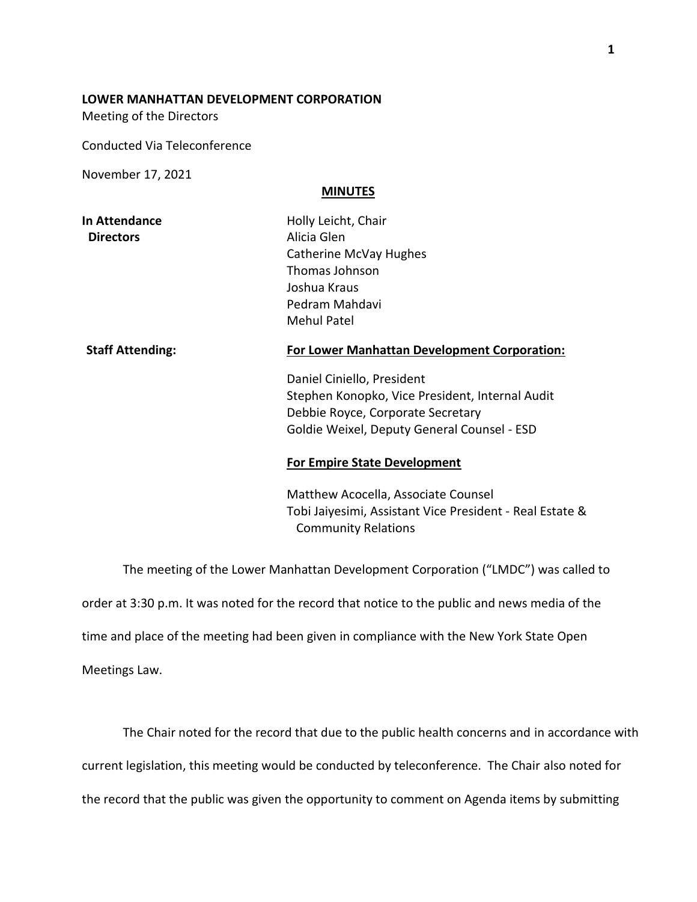## **LOWER MANHATTAN DEVELOPMENT CORPORATION**

Meeting of the Directors

Conducted Via Teleconference

November 17, 2021

## **MINUTES**

| <b>Staff Attending:</b> | <b>For Lower Manhattan Development Corporation:</b> |
|-------------------------|-----------------------------------------------------|
|                         | Mehul Patel                                         |
|                         | Pedram Mahdavi                                      |
|                         | Joshua Kraus                                        |
|                         | Thomas Johnson                                      |
|                         | Catherine McVay Hughes                              |
| <b>Directors</b>        | Alicia Glen                                         |
| In Attendance           | Holly Leicht, Chair                                 |

Daniel Ciniello, President

Stephen Konopko, Vice President, Internal Audit Debbie Royce, Corporate Secretary Goldie Weixel, Deputy General Counsel - ESD

## **For Empire State Development**

Matthew Acocella, Associate Counsel Tobi Jaiyesimi, Assistant Vice President - Real Estate & Community Relations

The meeting of the Lower Manhattan Development Corporation ("LMDC") was called to order at 3:30 p.m. It was noted for the record that notice to the public and news media of the time and place of the meeting had been given in compliance with the New York State Open Meetings Law.

The Chair noted for the record that due to the public health concerns and in accordance with

current legislation, this meeting would be conducted by teleconference. The Chair also noted for

the record that the public was given the opportunity to comment on Agenda items by submitting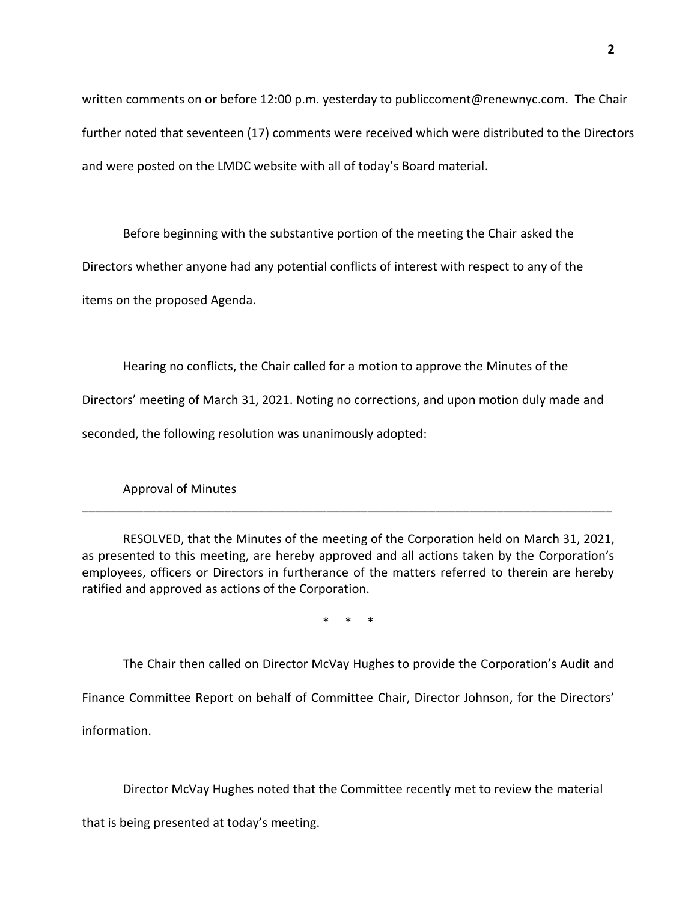written comments on or before 12:00 p.m. yesterday to publiccoment@renewnyc.com. The Chair further noted that seventeen (17) comments were received which were distributed to the Directors and were posted on the LMDC website with all of today's Board material.

Before beginning with the substantive portion of the meeting the Chair asked the Directors whether anyone had any potential conflicts of interest with respect to any of the items on the proposed Agenda.

Hearing no conflicts, the Chair called for a motion to approve the Minutes of the Directors' meeting of March 31, 2021. Noting no corrections, and upon motion duly made and seconded, the following resolution was unanimously adopted:

Approval of Minutes

RESOLVED, that the Minutes of the meeting of the Corporation held on March 31, 2021, as presented to this meeting, are hereby approved and all actions taken by the Corporation's employees, officers or Directors in furtherance of the matters referred to therein are hereby ratified and approved as actions of the Corporation.

\_\_\_\_\_\_\_\_\_\_\_\_\_\_\_\_\_\_\_\_\_\_\_\_\_\_\_\_\_\_\_\_\_\_\_\_\_\_\_\_\_\_\_\_\_\_\_\_\_\_\_\_\_\_\_\_\_\_\_\_\_\_\_\_\_\_\_\_\_\_\_\_\_\_\_\_\_\_

\* \* \*

The Chair then called on Director McVay Hughes to provide the Corporation's Audit and

Finance Committee Report on behalf of Committee Chair, Director Johnson, for the Directors'

information.

Director McVay Hughes noted that the Committee recently met to review the material

that is being presented at today's meeting.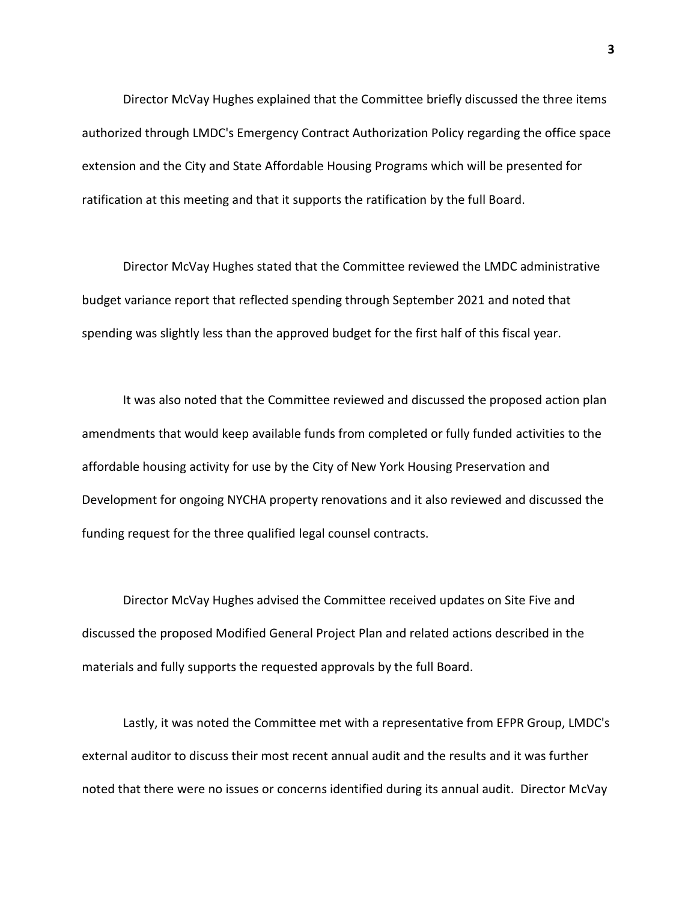Director McVay Hughes explained that the Committee briefly discussed the three items authorized through LMDC's Emergency Contract Authorization Policy regarding the office space extension and the City and State Affordable Housing Programs which will be presented for ratification at this meeting and that it supports the ratification by the full Board.

Director McVay Hughes stated that the Committee reviewed the LMDC administrative budget variance report that reflected spending through September 2021 and noted that spending was slightly less than the approved budget for the first half of this fiscal year.

It was also noted that the Committee reviewed and discussed the proposed action plan amendments that would keep available funds from completed or fully funded activities to the affordable housing activity for use by the City of New York Housing Preservation and Development for ongoing NYCHA property renovations and it also reviewed and discussed the funding request for the three qualified legal counsel contracts.

Director McVay Hughes advised the Committee received updates on Site Five and discussed the proposed Modified General Project Plan and related actions described in the materials and fully supports the requested approvals by the full Board.

Lastly, it was noted the Committee met with a representative from EFPR Group, LMDC's external auditor to discuss their most recent annual audit and the results and it was further noted that there were no issues or concerns identified during its annual audit. Director McVay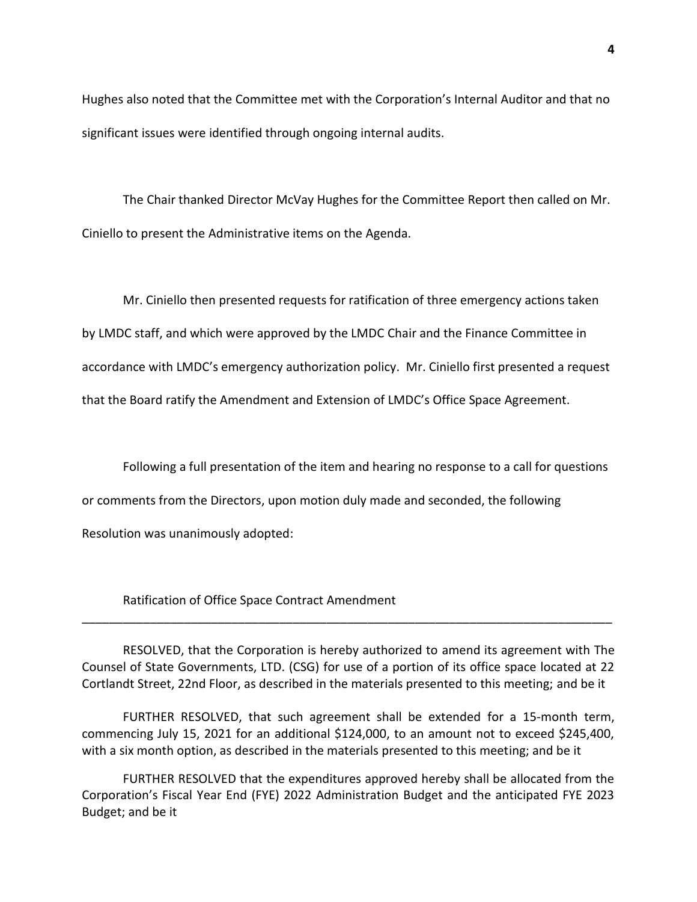Hughes also noted that the Committee met with the Corporation's Internal Auditor and that no significant issues were identified through ongoing internal audits.

The Chair thanked Director McVay Hughes for the Committee Report then called on Mr. Ciniello to present the Administrative items on the Agenda.

Mr. Ciniello then presented requests for ratification of three emergency actions taken by LMDC staff, and which were approved by the LMDC Chair and the Finance Committee in accordance with LMDC's emergency authorization policy. Mr. Ciniello first presented a request that the Board ratify the Amendment and Extension of LMDC's Office Space Agreement.

Following a full presentation of the item and hearing no response to a call for questions

or comments from the Directors, upon motion duly made and seconded, the following

Resolution was unanimously adopted:

Ratification of Office Space Contract Amendment

RESOLVED, that the Corporation is hereby authorized to amend its agreement with The Counsel of State Governments, LTD. (CSG) for use of a portion of its office space located at 22 Cortlandt Street, 22nd Floor, as described in the materials presented to this meeting; and be it

\_\_\_\_\_\_\_\_\_\_\_\_\_\_\_\_\_\_\_\_\_\_\_\_\_\_\_\_\_\_\_\_\_\_\_\_\_\_\_\_\_\_\_\_\_\_\_\_\_\_\_\_\_\_\_\_\_\_\_\_\_\_\_\_\_\_\_\_\_\_\_\_\_\_\_\_\_\_

FURTHER RESOLVED, that such agreement shall be extended for a 15-month term, commencing July 15, 2021 for an additional \$124,000, to an amount not to exceed \$245,400, with a six month option, as described in the materials presented to this meeting; and be it

FURTHER RESOLVED that the expenditures approved hereby shall be allocated from the Corporation's Fiscal Year End (FYE) 2022 Administration Budget and the anticipated FYE 2023 Budget; and be it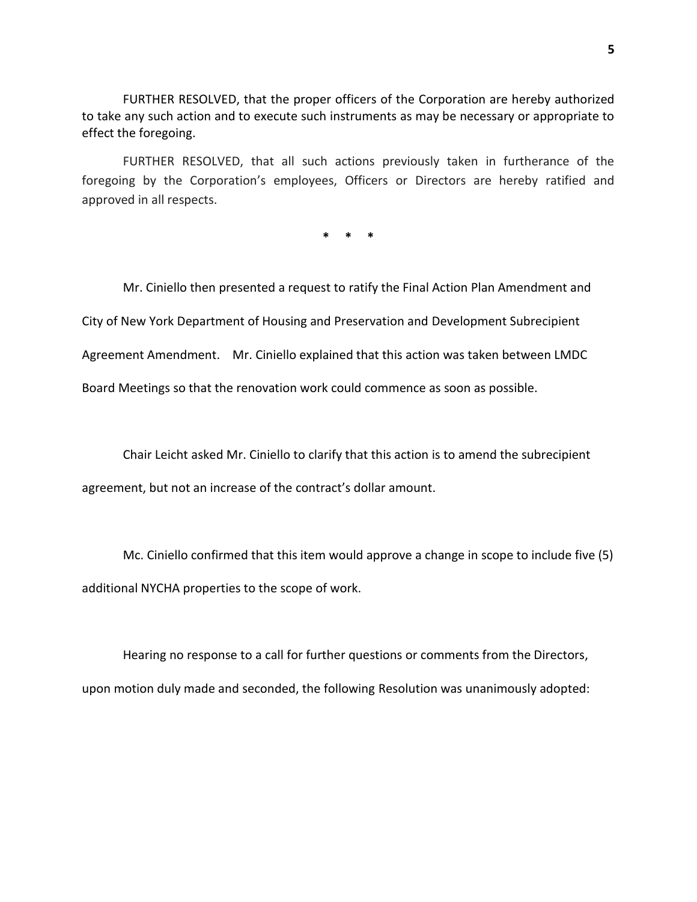FURTHER RESOLVED, that the proper officers of the Corporation are hereby authorized to take any such action and to execute such instruments as may be necessary or appropriate to effect the foregoing.

FURTHER RESOLVED, that all such actions previously taken in furtherance of the foregoing by the Corporation's employees, Officers or Directors are hereby ratified and approved in all respects.

**\* \* \***

Mr. Ciniello then presented a request to ratify the Final Action Plan Amendment and City of New York Department of Housing and Preservation and Development Subrecipient Agreement Amendment. Mr. Ciniello explained that this action was taken between LMDC Board Meetings so that the renovation work could commence as soon as possible.

Chair Leicht asked Mr. Ciniello to clarify that this action is to amend the subrecipient agreement, but not an increase of the contract's dollar amount.

Mc. Ciniello confirmed that this item would approve a change in scope to include five (5) additional NYCHA properties to the scope of work.

Hearing no response to a call for further questions or comments from the Directors, upon motion duly made and seconded, the following Resolution was unanimously adopted: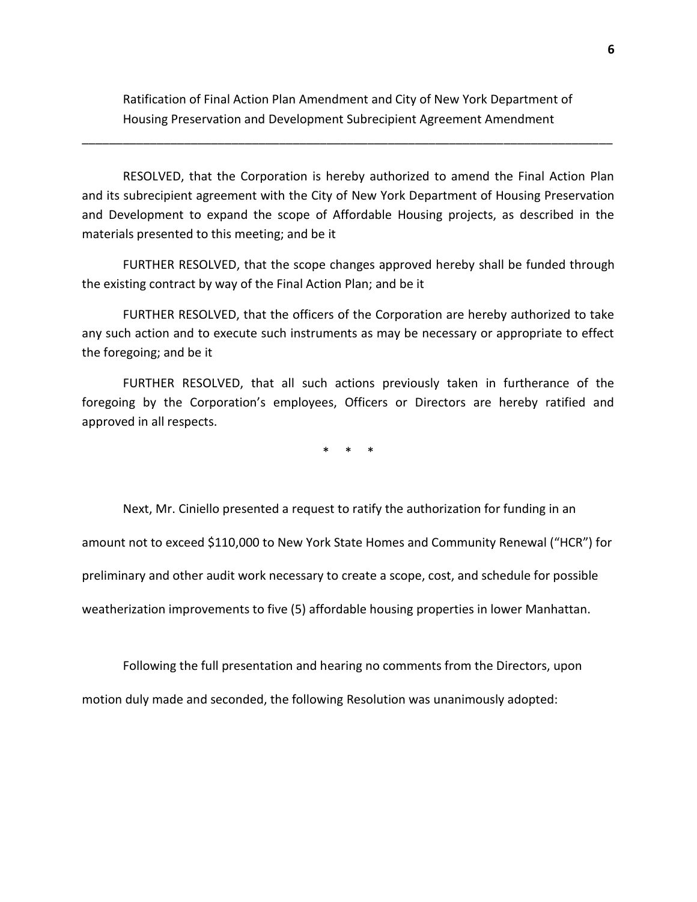Ratification of Final Action Plan Amendment and City of New York Department of Housing Preservation and Development Subrecipient Agreement Amendment

\_\_\_\_\_\_\_\_\_\_\_\_\_\_\_\_\_\_\_\_\_\_\_\_\_\_\_\_\_\_\_\_\_\_\_\_\_\_\_\_\_\_\_\_\_\_\_\_\_\_\_\_\_\_\_\_\_\_\_\_\_\_\_\_\_\_\_\_\_\_\_\_\_\_\_\_\_\_

RESOLVED, that the Corporation is hereby authorized to amend the Final Action Plan and its subrecipient agreement with the City of New York Department of Housing Preservation and Development to expand the scope of Affordable Housing projects, as described in the materials presented to this meeting; and be it

FURTHER RESOLVED, that the scope changes approved hereby shall be funded through the existing contract by way of the Final Action Plan; and be it

FURTHER RESOLVED, that the officers of the Corporation are hereby authorized to take any such action and to execute such instruments as may be necessary or appropriate to effect the foregoing; and be it

FURTHER RESOLVED, that all such actions previously taken in furtherance of the foregoing by the Corporation's employees, Officers or Directors are hereby ratified and approved in all respects.

\* \* \*

Next, Mr. Ciniello presented a request to ratify the authorization for funding in an amount not to exceed \$110,000 to New York State Homes and Community Renewal ("HCR") for preliminary and other audit work necessary to create a scope, cost, and schedule for possible weatherization improvements to five (5) affordable housing properties in lower Manhattan.

Following the full presentation and hearing no comments from the Directors, upon motion duly made and seconded, the following Resolution was unanimously adopted: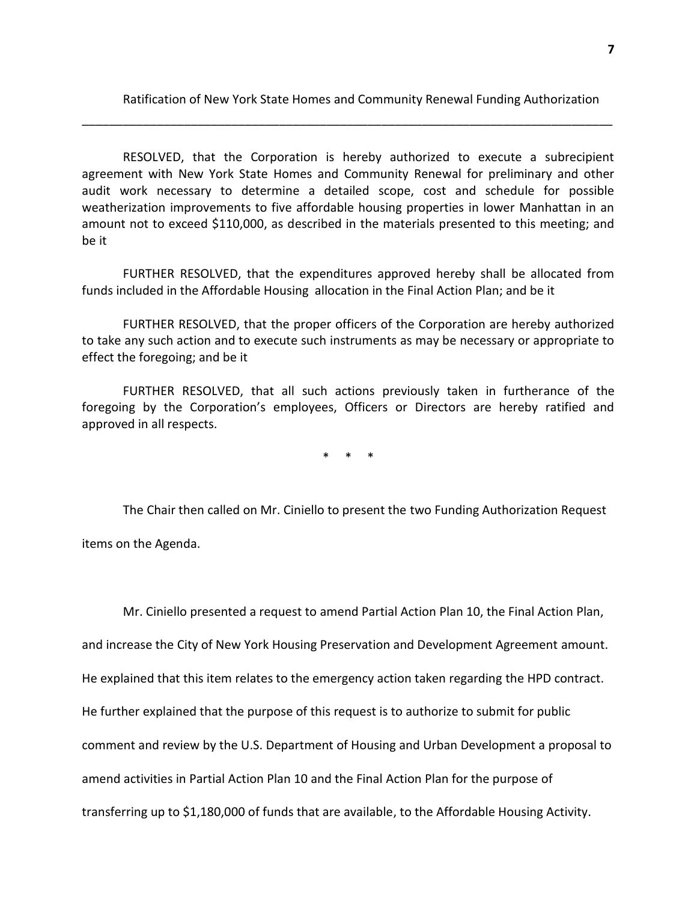Ratification of New York State Homes and Community Renewal Funding Authorization

RESOLVED, that the Corporation is hereby authorized to execute a subrecipient agreement with New York State Homes and Community Renewal for preliminary and other audit work necessary to determine a detailed scope, cost and schedule for possible weatherization improvements to five affordable housing properties in lower Manhattan in an amount not to exceed \$110,000, as described in the materials presented to this meeting; and be it

\_\_\_\_\_\_\_\_\_\_\_\_\_\_\_\_\_\_\_\_\_\_\_\_\_\_\_\_\_\_\_\_\_\_\_\_\_\_\_\_\_\_\_\_\_\_\_\_\_\_\_\_\_\_\_\_\_\_\_\_\_\_\_\_\_\_\_\_\_\_\_\_\_\_\_\_\_\_

FURTHER RESOLVED, that the expenditures approved hereby shall be allocated from funds included in the Affordable Housing allocation in the Final Action Plan; and be it

FURTHER RESOLVED, that the proper officers of the Corporation are hereby authorized to take any such action and to execute such instruments as may be necessary or appropriate to effect the foregoing; and be it

FURTHER RESOLVED, that all such actions previously taken in furtherance of the foregoing by the Corporation's employees, Officers or Directors are hereby ratified and approved in all respects.

\* \* \*

The Chair then called on Mr. Ciniello to present the two Funding Authorization Request items on the Agenda.

Mr. Ciniello presented a request to amend Partial Action Plan 10, the Final Action Plan,

and increase the City of New York Housing Preservation and Development Agreement amount.

He explained that this item relates to the emergency action taken regarding the HPD contract.

He further explained that the purpose of this request is to authorize to submit for public

comment and review by the U.S. Department of Housing and Urban Development a proposal to

amend activities in Partial Action Plan 10 and the Final Action Plan for the purpose of

transferring up to \$1,180,000 of funds that are available, to the Affordable Housing Activity.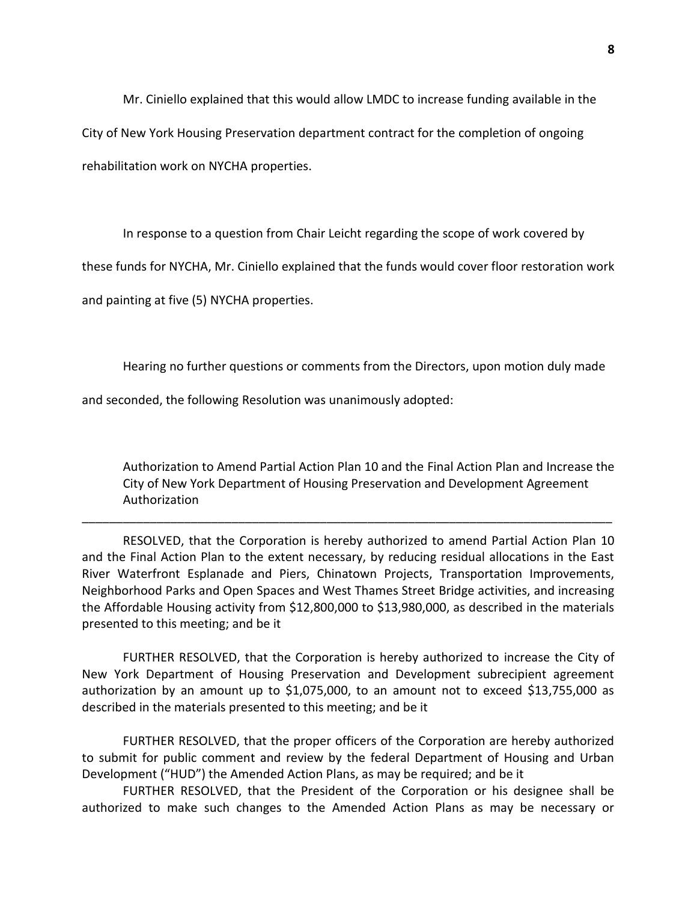Mr. Ciniello explained that this would allow LMDC to increase funding available in the

City of New York Housing Preservation department contract for the completion of ongoing

rehabilitation work on NYCHA properties.

In response to a question from Chair Leicht regarding the scope of work covered by

these funds for NYCHA, Mr. Ciniello explained that the funds would cover floor restoration work

and painting at five (5) NYCHA properties.

Hearing no further questions or comments from the Directors, upon motion duly made

and seconded, the following Resolution was unanimously adopted:

Authorization to Amend Partial Action Plan 10 and the Final Action Plan and Increase the City of New York Department of Housing Preservation and Development Agreement Authorization

RESOLVED, that the Corporation is hereby authorized to amend Partial Action Plan 10 and the Final Action Plan to the extent necessary, by reducing residual allocations in the East River Waterfront Esplanade and Piers, Chinatown Projects, Transportation Improvements, Neighborhood Parks and Open Spaces and West Thames Street Bridge activities, and increasing the Affordable Housing activity from \$12,800,000 to \$13,980,000, as described in the materials presented to this meeting; and be it

\_\_\_\_\_\_\_\_\_\_\_\_\_\_\_\_\_\_\_\_\_\_\_\_\_\_\_\_\_\_\_\_\_\_\_\_\_\_\_\_\_\_\_\_\_\_\_\_\_\_\_\_\_\_\_\_\_\_\_\_\_\_\_\_\_\_\_\_\_\_\_\_\_\_\_\_\_\_

FURTHER RESOLVED, that the Corporation is hereby authorized to increase the City of New York Department of Housing Preservation and Development subrecipient agreement authorization by an amount up to \$1,075,000, to an amount not to exceed \$13,755,000 as described in the materials presented to this meeting; and be it

FURTHER RESOLVED, that the proper officers of the Corporation are hereby authorized to submit for public comment and review by the federal Department of Housing and Urban Development ("HUD") the Amended Action Plans, as may be required; and be it

FURTHER RESOLVED, that the President of the Corporation or his designee shall be authorized to make such changes to the Amended Action Plans as may be necessary or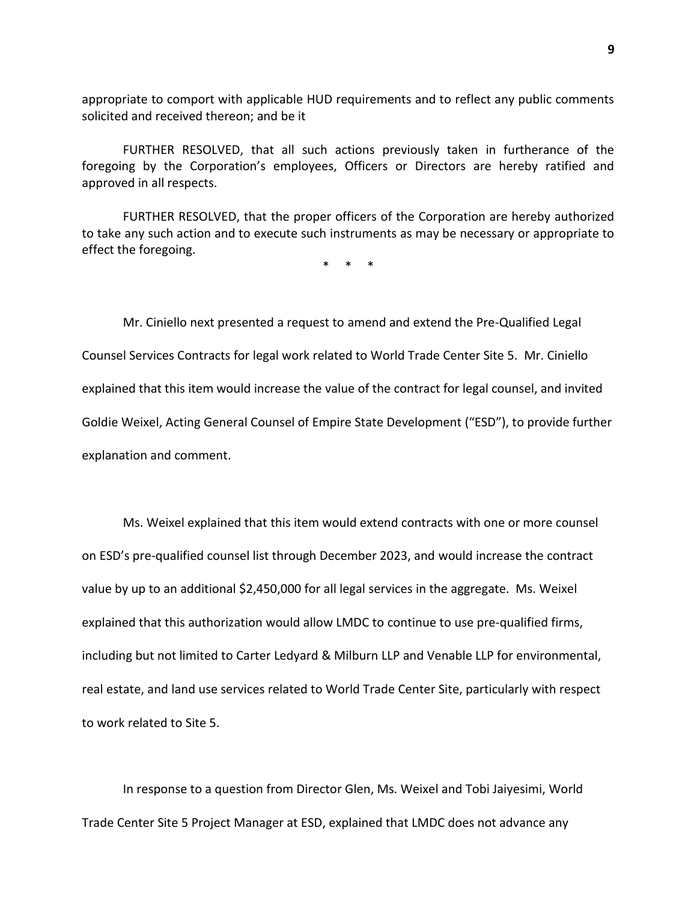appropriate to comport with applicable HUD requirements and to reflect any public comments solicited and received thereon; and be it

FURTHER RESOLVED, that all such actions previously taken in furtherance of the foregoing by the Corporation's employees, Officers or Directors are hereby ratified and approved in all respects.

FURTHER RESOLVED, that the proper officers of the Corporation are hereby authorized to take any such action and to execute such instruments as may be necessary or appropriate to effect the foregoing.

\* \* \*

Mr. Ciniello next presented a request to amend and extend the Pre-Qualified Legal Counsel Services Contracts for legal work related to World Trade Center Site 5. Mr. Ciniello explained that this item would increase the value of the contract for legal counsel, and invited Goldie Weixel, Acting General Counsel of Empire State Development ("ESD"), to provide further explanation and comment.

Ms. Weixel explained that this item would extend contracts with one or more counsel on ESD's pre-qualified counsel list through December 2023, and would increase the contract value by up to an additional \$2,450,000 for all legal services in the aggregate. Ms. Weixel explained that this authorization would allow LMDC to continue to use pre-qualified firms, including but not limited to Carter Ledyard & Milburn LLP and Venable LLP for environmental, real estate, and land use services related to World Trade Center Site, particularly with respect to work related to Site 5.

In response to a question from Director Glen, Ms. Weixel and Tobi Jaiyesimi, World Trade Center Site 5 Project Manager at ESD, explained that LMDC does not advance any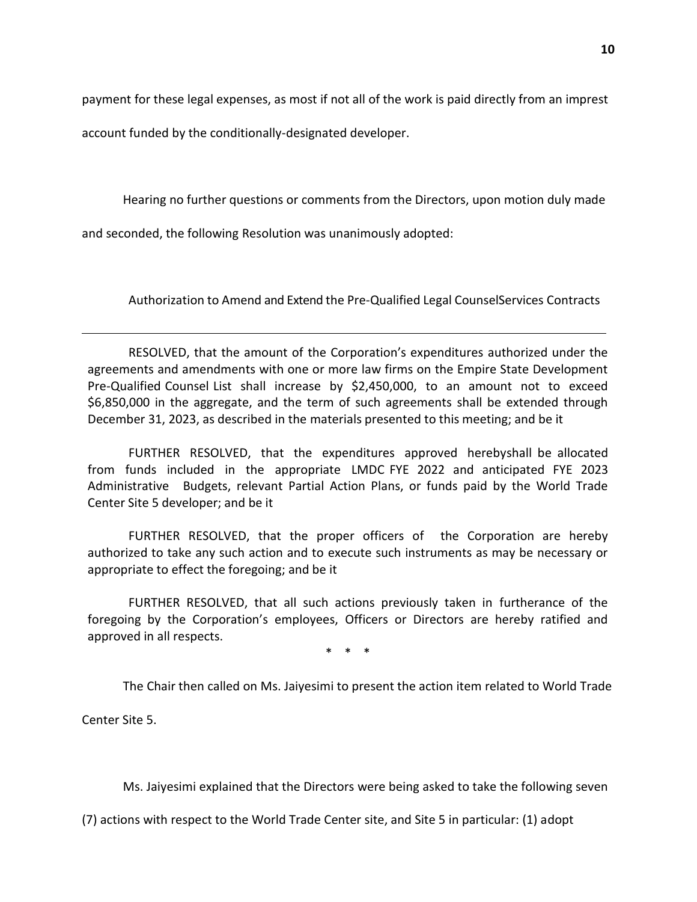payment for these legal expenses, as most if not all of the work is paid directly from an imprest

account funded by the conditionally-designated developer.

Hearing no further questions or comments from the Directors, upon motion duly made

and seconded, the following Resolution was unanimously adopted:

Authorization to Amend and Extend the Pre-Qualified Legal CounselServices Contracts

RESOLVED, that the amount of the Corporation's expenditures authorized under the agreements and amendments with one or more law firms on the Empire State Development Pre-Qualified Counsel List shall increase by \$2,450,000, to an amount not to exceed \$6,850,000 in the aggregate, and the term of such agreements shall be extended through December 31, 2023, as described in the materials presented to this meeting; and be it

FURTHER RESOLVED, that the expenditures approved herebyshall be allocated from funds included in the appropriate LMDC FYE 2022 and anticipated FYE 2023 Administrative Budgets, relevant Partial Action Plans, or funds paid by the World Trade Center Site 5 developer; and be it

FURTHER RESOLVED, that the proper officers of the Corporation are hereby authorized to take any such action and to execute such instruments as may be necessary or appropriate to effect the foregoing; and be it

FURTHER RESOLVED, that all such actions previously taken in furtherance of the foregoing by the Corporation's employees, Officers or Directors are hereby ratified and approved in all respects.

\* \* \*

The Chair then called on Ms. Jaiyesimi to present the action item related to World Trade

Center Site 5.

Ms. Jaiyesimi explained that the Directors were being asked to take the following seven

(7) actions with respect to the World Trade Center site, and Site 5 in particular: (1) adopt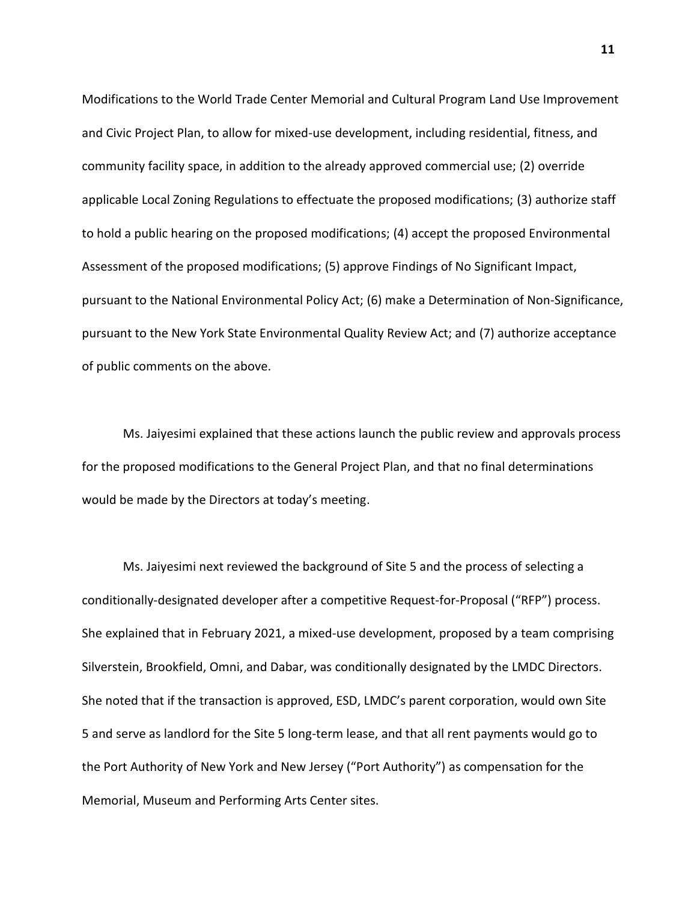Modifications to the World Trade Center Memorial and Cultural Program Land Use Improvement and Civic Project Plan, to allow for mixed-use development, including residential, fitness, and community facility space, in addition to the already approved commercial use; (2) override applicable Local Zoning Regulations to effectuate the proposed modifications; (3) authorize staff to hold a public hearing on the proposed modifications; (4) accept the proposed Environmental Assessment of the proposed modifications; (5) approve Findings of No Significant Impact, pursuant to the National Environmental Policy Act; (6) make a Determination of Non-Significance, pursuant to the New York State Environmental Quality Review Act; and (7) authorize acceptance of public comments on the above.

Ms. Jaiyesimi explained that these actions launch the public review and approvals process for the proposed modifications to the General Project Plan, and that no final determinations would be made by the Directors at today's meeting.

Ms. Jaiyesimi next reviewed the background of Site 5 and the process of selecting a conditionally-designated developer after a competitive Request-for-Proposal ("RFP") process. She explained that in February 2021, a mixed-use development, proposed by a team comprising Silverstein, Brookfield, Omni, and Dabar, was conditionally designated by the LMDC Directors. She noted that if the transaction is approved, ESD, LMDC's parent corporation, would own Site 5 and serve as landlord for the Site 5 long-term lease, and that all rent payments would go to the Port Authority of New York and New Jersey ("Port Authority") as compensation for the Memorial, Museum and Performing Arts Center sites.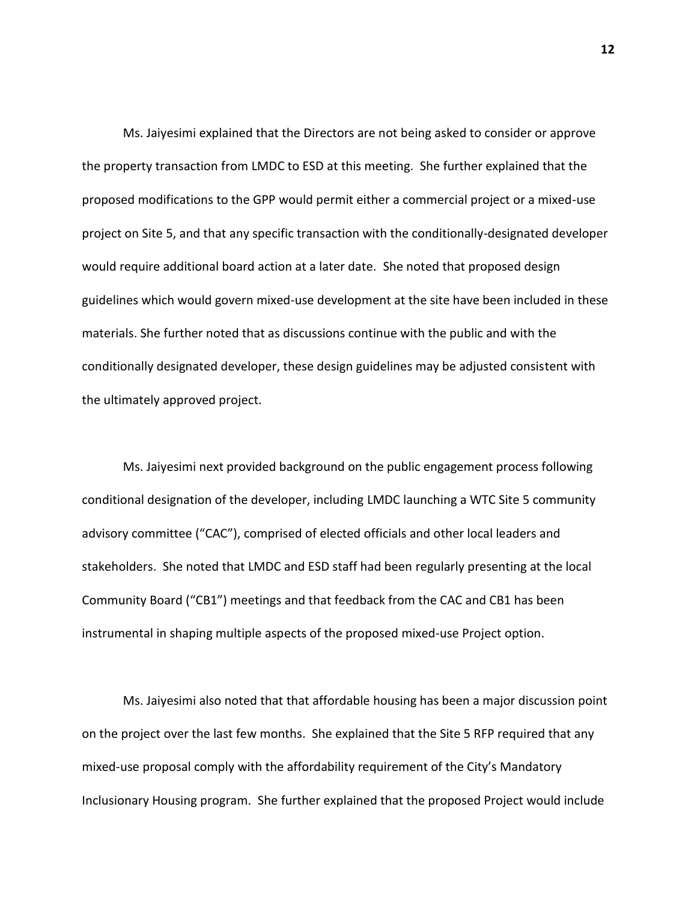Ms. Jaiyesimi explained that the Directors are not being asked to consider or approve the property transaction from LMDC to ESD at this meeting. She further explained that the proposed modifications to the GPP would permit either a commercial project or a mixed-use project on Site 5, and that any specific transaction with the conditionally-designated developer would require additional board action at a later date. She noted that proposed design guidelines which would govern mixed-use development at the site have been included in these materials. She further noted that as discussions continue with the public and with the conditionally designated developer, these design guidelines may be adjusted consistent with the ultimately approved project.

Ms. Jaiyesimi next provided background on the public engagement process following conditional designation of the developer, including LMDC launching a WTC Site 5 community advisory committee ("CAC"), comprised of elected officials and other local leaders and stakeholders. She noted that LMDC and ESD staff had been regularly presenting at the local Community Board ("CB1") meetings and that feedback from the CAC and CB1 has been instrumental in shaping multiple aspects of the proposed mixed-use Project option.

Ms. Jaiyesimi also noted that that affordable housing has been a major discussion point on the project over the last few months. She explained that the Site 5 RFP required that any mixed-use proposal comply with the affordability requirement of the City's Mandatory Inclusionary Housing program. She further explained that the proposed Project would include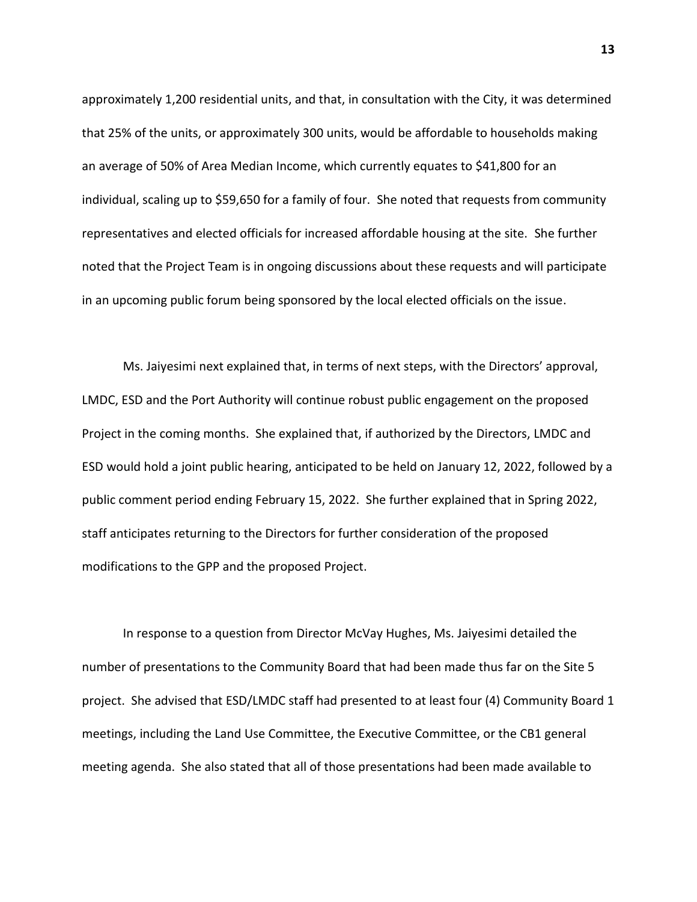approximately 1,200 residential units, and that, in consultation with the City, it was determined that 25% of the units, or approximately 300 units, would be affordable to households making an average of 50% of Area Median Income, which currently equates to \$41,800 for an individual, scaling up to \$59,650 for a family of four. She noted that requests from community representatives and elected officials for increased affordable housing at the site. She further noted that the Project Team is in ongoing discussions about these requests and will participate in an upcoming public forum being sponsored by the local elected officials on the issue.

Ms. Jaiyesimi next explained that, in terms of next steps, with the Directors' approval, LMDC, ESD and the Port Authority will continue robust public engagement on the proposed Project in the coming months. She explained that, if authorized by the Directors, LMDC and ESD would hold a joint public hearing, anticipated to be held on January 12, 2022, followed by a public comment period ending February 15, 2022. She further explained that in Spring 2022, staff anticipates returning to the Directors for further consideration of the proposed modifications to the GPP and the proposed Project.

In response to a question from Director McVay Hughes, Ms. Jaiyesimi detailed the number of presentations to the Community Board that had been made thus far on the Site 5 project. She advised that ESD/LMDC staff had presented to at least four (4) Community Board 1 meetings, including the Land Use Committee, the Executive Committee, or the CB1 general meeting agenda. She also stated that all of those presentations had been made available to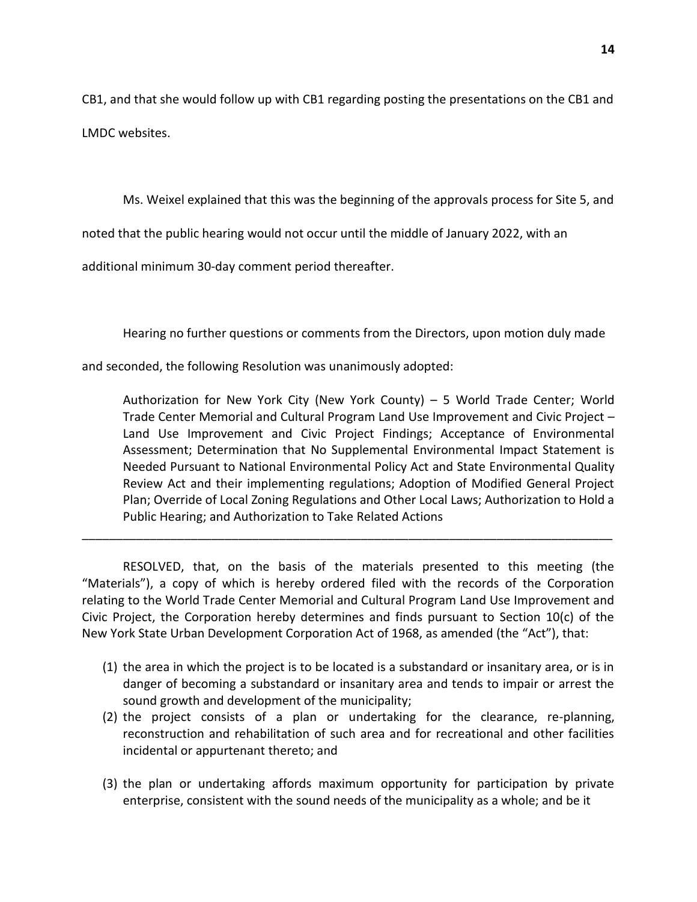CB1, and that she would follow up with CB1 regarding posting the presentations on the CB1 and LMDC websites.

Ms. Weixel explained that this was the beginning of the approvals process for Site 5, and

noted that the public hearing would not occur until the middle of January 2022, with an

additional minimum 30-day comment period thereafter.

Hearing no further questions or comments from the Directors, upon motion duly made

and seconded, the following Resolution was unanimously adopted:

Authorization for New York City (New York County) – 5 World Trade Center; World Trade Center Memorial and Cultural Program Land Use Improvement and Civic Project – Land Use Improvement and Civic Project Findings; Acceptance of Environmental Assessment; Determination that No Supplemental Environmental Impact Statement is Needed Pursuant to National Environmental Policy Act and State Environmental Quality Review Act and their implementing regulations; Adoption of Modified General Project Plan; Override of Local Zoning Regulations and Other Local Laws; Authorization to Hold a Public Hearing; and Authorization to Take Related Actions

RESOLVED, that, on the basis of the materials presented to this meeting (the "Materials"), a copy of which is hereby ordered filed with the records of the Corporation relating to the World Trade Center Memorial and Cultural Program Land Use Improvement and Civic Project, the Corporation hereby determines and finds pursuant to Section 10(c) of the New York State Urban Development Corporation Act of 1968, as amended (the "Act"), that:

\_\_\_\_\_\_\_\_\_\_\_\_\_\_\_\_\_\_\_\_\_\_\_\_\_\_\_\_\_\_\_\_\_\_\_\_\_\_\_\_\_\_\_\_\_\_\_\_\_\_\_\_\_\_\_\_\_\_\_\_\_\_\_\_\_\_\_\_\_\_\_\_\_\_\_\_\_\_

- (1) the area in which the project is to be located is a substandard or insanitary area, or is in danger of becoming a substandard or insanitary area and tends to impair or arrest the sound growth and development of the municipality;
- (2) the project consists of a plan or undertaking for the clearance, re-planning, reconstruction and rehabilitation of such area and for recreational and other facilities incidental or appurtenant thereto; and
- (3) the plan or undertaking affords maximum opportunity for participation by private enterprise, consistent with the sound needs of the municipality as a whole; and be it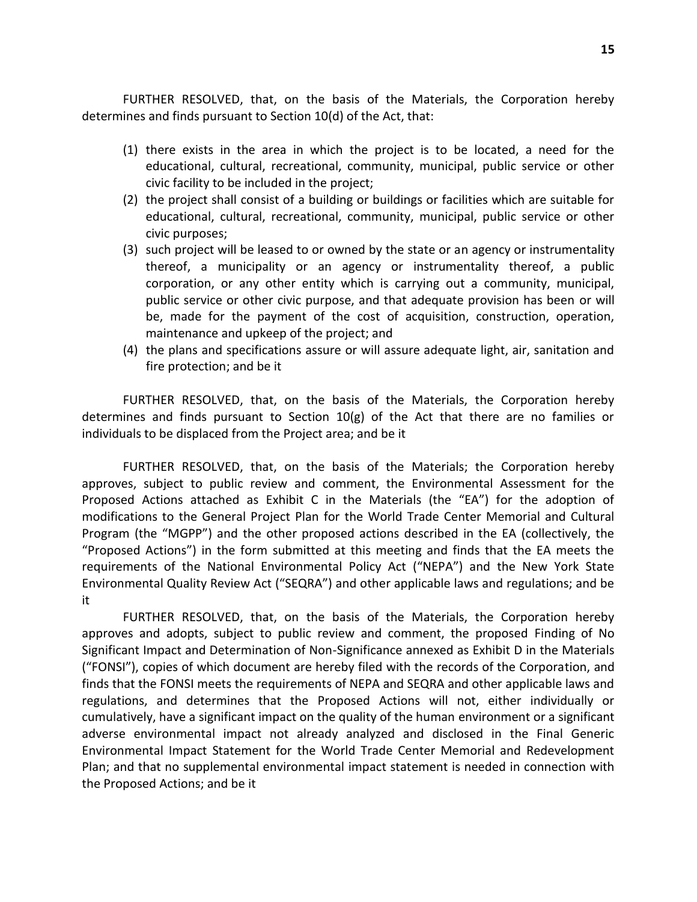FURTHER RESOLVED, that, on the basis of the Materials, the Corporation hereby determines and finds pursuant to Section 10(d) of the Act, that:

- (1) there exists in the area in which the project is to be located, a need for the educational, cultural, recreational, community, municipal, public service or other civic facility to be included in the project;
- (2) the project shall consist of a building or buildings or facilities which are suitable for educational, cultural, recreational, community, municipal, public service or other civic purposes;
- (3) such project will be leased to or owned by the state or an agency or instrumentality thereof, a municipality or an agency or instrumentality thereof, a public corporation, or any other entity which is carrying out a community, municipal, public service or other civic purpose, and that adequate provision has been or will be, made for the payment of the cost of acquisition, construction, operation, maintenance and upkeep of the project; and
- (4) the plans and specifications assure or will assure adequate light, air, sanitation and fire protection; and be it

FURTHER RESOLVED, that, on the basis of the Materials, the Corporation hereby determines and finds pursuant to Section 10(g) of the Act that there are no families or individuals to be displaced from the Project area; and be it

FURTHER RESOLVED, that, on the basis of the Materials; the Corporation hereby approves, subject to public review and comment, the Environmental Assessment for the Proposed Actions attached as Exhibit C in the Materials (the "EA") for the adoption of modifications to the General Project Plan for the World Trade Center Memorial and Cultural Program (the "MGPP") and the other proposed actions described in the EA (collectively, the "Proposed Actions") in the form submitted at this meeting and finds that the EA meets the requirements of the National Environmental Policy Act ("NEPA") and the New York State Environmental Quality Review Act ("SEQRA") and other applicable laws and regulations; and be it

FURTHER RESOLVED, that, on the basis of the Materials, the Corporation hereby approves and adopts, subject to public review and comment, the proposed Finding of No Significant Impact and Determination of Non-Significance annexed as Exhibit D in the Materials ("FONSI"), copies of which document are hereby filed with the records of the Corporation, and finds that the FONSI meets the requirements of NEPA and SEQRA and other applicable laws and regulations, and determines that the Proposed Actions will not, either individually or cumulatively, have a significant impact on the quality of the human environment or a significant adverse environmental impact not already analyzed and disclosed in the Final Generic Environmental Impact Statement for the World Trade Center Memorial and Redevelopment Plan; and that no supplemental environmental impact statement is needed in connection with the Proposed Actions; and be it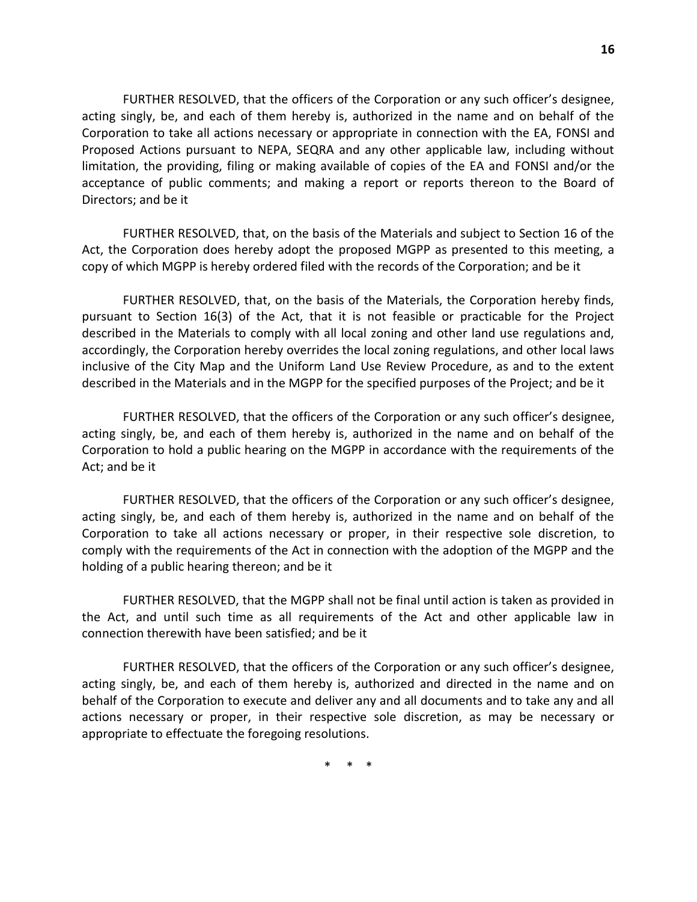FURTHER RESOLVED, that the officers of the Corporation or any such officer's designee, acting singly, be, and each of them hereby is, authorized in the name and on behalf of the Corporation to take all actions necessary or appropriate in connection with the EA, FONSI and Proposed Actions pursuant to NEPA, SEQRA and any other applicable law, including without limitation, the providing, filing or making available of copies of the EA and FONSI and/or the acceptance of public comments; and making a report or reports thereon to the Board of Directors; and be it

FURTHER RESOLVED, that, on the basis of the Materials and subject to Section 16 of the Act, the Corporation does hereby adopt the proposed MGPP as presented to this meeting, a copy of which MGPP is hereby ordered filed with the records of the Corporation; and be it

FURTHER RESOLVED, that, on the basis of the Materials, the Corporation hereby finds, pursuant to Section 16(3) of the Act, that it is not feasible or practicable for the Project described in the Materials to comply with all local zoning and other land use regulations and, accordingly, the Corporation hereby overrides the local zoning regulations, and other local laws inclusive of the City Map and the Uniform Land Use Review Procedure, as and to the extent described in the Materials and in the MGPP for the specified purposes of the Project; and be it

FURTHER RESOLVED, that the officers of the Corporation or any such officer's designee, acting singly, be, and each of them hereby is, authorized in the name and on behalf of the Corporation to hold a public hearing on the MGPP in accordance with the requirements of the Act; and be it

FURTHER RESOLVED, that the officers of the Corporation or any such officer's designee, acting singly, be, and each of them hereby is, authorized in the name and on behalf of the Corporation to take all actions necessary or proper, in their respective sole discretion, to comply with the requirements of the Act in connection with the adoption of the MGPP and the holding of a public hearing thereon; and be it

FURTHER RESOLVED, that the MGPP shall not be final until action is taken as provided in the Act, and until such time as all requirements of the Act and other applicable law in connection therewith have been satisfied; and be it

FURTHER RESOLVED, that the officers of the Corporation or any such officer's designee, acting singly, be, and each of them hereby is, authorized and directed in the name and on behalf of the Corporation to execute and deliver any and all documents and to take any and all actions necessary or proper, in their respective sole discretion, as may be necessary or appropriate to effectuate the foregoing resolutions.

\* \* \*